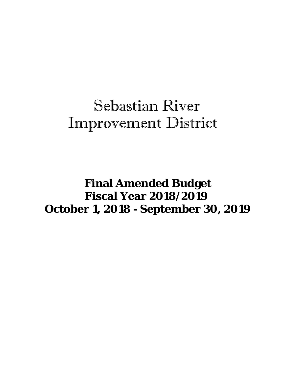## Sebastian River Improvement District

 **Final Amended Budget Fiscal Year 2018/2019 October 1, 2018 - September 30, 2019**